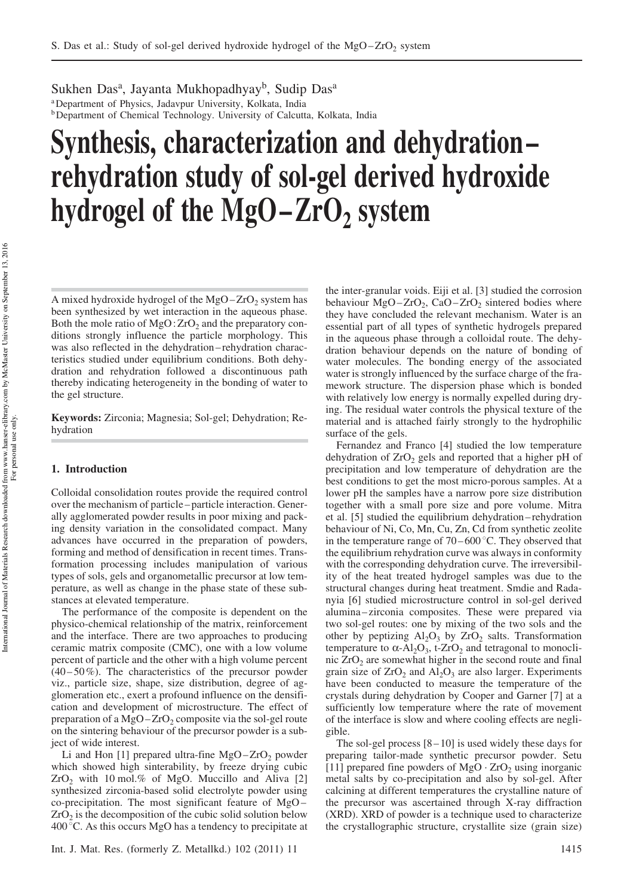Sukhen Das<sup>a</sup>, Jayanta Mukhopadhyay<sup>b</sup>, Sudip Das<sup>a</sup> <sup>a</sup>Department of Physics, Jadavpur University, Kolkata, India **b** Department of Chemical Technology. University of Calcutta, Kolkata, India

# Synthesis, characterization and dehydration – rehydration study of sol-gel derived hydroxide hydrogel of the  $MgO-ZrO<sub>2</sub>$  system

A mixed hydroxide hydrogel of the  $MgO-ZrO<sub>2</sub>$  system has been synthesized by wet interaction in the aqueous phase. Both the mole ratio of  $MgO:ZrO<sub>2</sub>$  and the preparatory conditions strongly influence the particle morphology. This was also reflected in the dehydration – rehydration characteristics studied under equilibrium conditions. Both dehydration and rehydration followed a discontinuous path thereby indicating heterogeneity in the bonding of water to the gel structure.

Keywords: Zirconia; Magnesia; Sol-gel; Dehydration; Rehydration

## 1. Introduction

Colloidal consolidation routes provide the required control over the mechanism of particle – particle interaction. Generally agglomerated powder results in poor mixing and packing density variation in the consolidated compact. Many advances have occurred in the preparation of powders, forming and method of densification in recent times. Transformation processing includes manipulation of various types of sols, gels and organometallic precursor at low temperature, as well as change in the phase state of these substances at elevated temperature.

The performance of the composite is dependent on the physico-chemical relationship of the matrix, reinforcement and the interface. There are two approaches to producing ceramic matrix composite (CMC), one with a low volume percent of particle and the other with a high volume percent  $(40-50\%)$ . The characteristics of the precursor powder viz., particle size, shape, size distribution, degree of agglomeration etc., exert a profound influence on the densification and development of microstructure. The effect of preparation of a  $MgO-ZrO<sub>2</sub>$  composite via the sol-gel route on the sintering behaviour of the precursor powder is a subject of wide interest.

Li and Hon [1] prepared ultra-fine  $MgO-ZrO<sub>2</sub>$  powder which showed high sinterability, by freeze drying cubic  $ZrO<sub>2</sub>$  with 10 mol.% of MgO. Muccillo and Aliva [2] synthesized zirconia-based solid electrolyte powder using co-precipitation. The most significant feature of MgO –  $ZrO<sub>2</sub>$  is the decomposition of the cubic solid solution below  $400^{\circ}$ C. As this occurs MgO has a tendency to precipitate at the inter-granular voids. Eiji et al. [3] studied the corrosion behaviour  $MgO-ZrO_2$ , CaO-ZrO<sub>2</sub> sintered bodies where they have concluded the relevant mechanism. Water is an essential part of all types of synthetic hydrogels prepared in the aqueous phase through a colloidal route. The dehydration behaviour depends on the nature of bonding of water molecules. The bonding energy of the associated water is strongly influenced by the surface charge of the framework structure. The dispersion phase which is bonded with relatively low energy is normally expelled during drying. The residual water controls the physical texture of the material and is attached fairly strongly to the hydrophilic surface of the gels.

Fernandez and Franco [4] studied the low temperature dehydration of  $ZrO<sub>2</sub>$  gels and reported that a higher pH of precipitation and low temperature of dehydration are the best conditions to get the most micro-porous samples. At a lower pH the samples have a narrow pore size distribution together with a small pore size and pore volume. Mitra et al. [5] studied the equilibrium dehydration – rehydration behaviour of Ni, Co, Mn, Cu, Zn, Cd from synthetic zeolite in the temperature range of  $70-600$  °C. They observed that the equilibrium rehydration curve was always in conformity with the corresponding dehydration curve. The irreversibility of the heat treated hydrogel samples was due to the structural changes during heat treatment. Smdie and Radanyia [6] studied microstructure control in sol-gel derived alumina – zirconia composites. These were prepared via two sol-gel routes: one by mixing of the two sols and the other by peptizing  $Al_2O_3$  by  $ZrO_2$  salts. Transformation temperature to  $\alpha$ -Al<sub>2</sub>O<sub>3</sub>, t-ZrO<sub>2</sub> and tetragonal to monoclinic  $ZrO<sub>2</sub>$  are somewhat higher in the second route and final grain size of  $ZrO<sub>2</sub>$  and  $Al<sub>2</sub>O<sub>3</sub>$  are also larger. Experiments have been conducted to measure the temperature of the crystals during dehydration by Cooper and Garner [7] at a sufficiently low temperature where the rate of movement of the interface is slow and where cooling effects are negligible.

The sol-gel process  $[8-10]$  is used widely these days for preparing tailor-made synthetic precursor powder. Setu [11] prepared fine powders of  $MgO \cdot ZrO<sub>2</sub>$  using inorganic metal salts by co-precipitation and also by sol-gel. After calcining at different temperatures the crystalline nature of the precursor was ascertained through X-ray diffraction (XRD). XRD of powder is a technique used to characterize the crystallographic structure, crystallite size (grain size)

International Journal of Materials Research downloaded from www.hanser-elibrary.com by McMaster University on September 13, 2016 International Journal of Materials Research downloaded from www.hanser-elibrary.com by McMaster University on September 13, 2016 For personal use only.For personal use only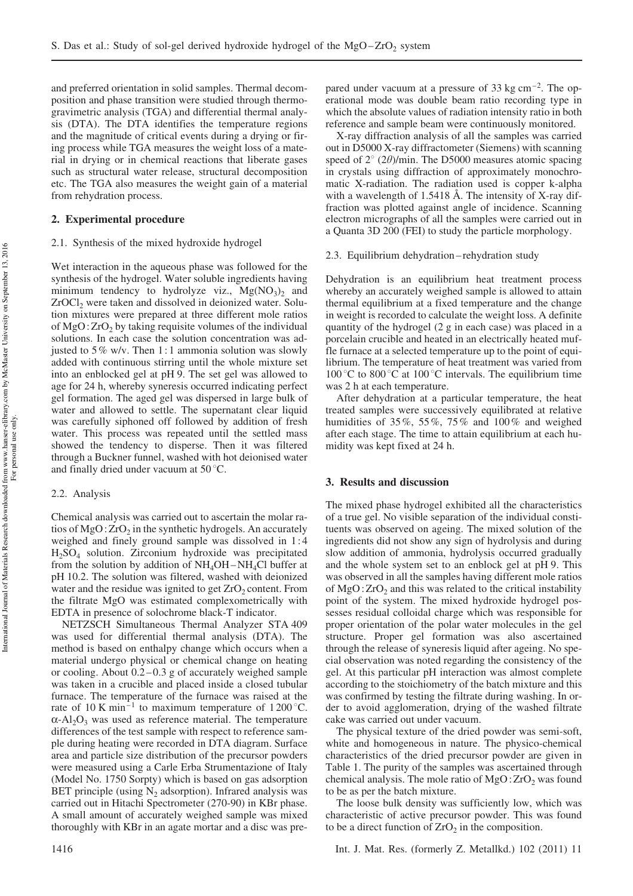and preferred orientation in solid samples. Thermal decomposition and phase transition were studied through thermogravimetric analysis (TGA) and differential thermal analysis (DTA). The DTA identifies the temperature regions and the magnitude of critical events during a drying or firing process while TGA measures the weight loss of a material in drying or in chemical reactions that liberate gases such as structural water release, structural decomposition etc. The TGA also measures the weight gain of a material from rehydration process.

#### 2. Experimental procedure

#### 2.1. Synthesis of the mixed hydroxide hydrogel

Wet interaction in the aqueous phase was followed for the synthesis of the hydrogel. Water soluble ingredients having minimum tendency to hydrolyze viz.,  $Mg(NO<sub>3</sub>)<sub>2</sub>$  and  $ZrOCl<sub>2</sub>$  were taken and dissolved in deionized water. Solution mixtures were prepared at three different mole ratios of  $MgO: ZrO<sub>2</sub>$  by taking requisite volumes of the individual solutions. In each case the solution concentration was adjusted to 5% w/v. Then 1: 1 ammonia solution was slowly added with continuous stirring until the whole mixture set into an enblocked gel at pH 9. The set gel was allowed to age for 24 h, whereby syneresis occurred indicating perfect gel formation. The aged gel was dispersed in large bulk of water and allowed to settle. The supernatant clear liquid was carefully siphoned off followed by addition of fresh water. This process was repeated until the settled mass showed the tendency to disperse. Then it was filtered through a Buckner funnel, washed with hot deionised water and finally dried under vacuum at  $50^{\circ}$ C.

#### 2.2. Analysis

Chemical analysis was carried out to ascertain the molar ratios of  $MgO$ :  $ZrO<sub>2</sub>$  in the synthetic hydrogels. An accurately weighed and finely ground sample was dissolved in 1:4 H2SO<sup>4</sup> solution. Zirconium hydroxide was precipitated from the solution by addition of  $NH_4OH-NH_4Cl$  buffer at pH 10.2. The solution was filtered, washed with deionized water and the residue was ignited to get  $ZrO<sub>2</sub>$  content. From the filtrate MgO was estimated complexometrically with EDTA in presence of solochrome black-T indicator.

NETZSCH Simultaneous Thermal Analyzer STA 409 was used for differential thermal analysis (DTA). The method is based on enthalpy change which occurs when a material undergo physical or chemical change on heating or cooling. About  $0.2 - 0.3$  g of accurately weighed sample was taken in a crucible and placed inside a closed tubular furnace. The temperature of the furnace was raised at the rate of 10 K min<sup>-1</sup> to maximum temperature of 1200 °C.  $\alpha$ -Al<sub>2</sub>O<sub>3</sub> was used as reference material. The temperature differences of the test sample with respect to reference sample during heating were recorded in DTA diagram. Surface area and particle size distribution of the precursor powders were measured using a Carle Erba Strumentazione of Italy (Model No. 1750 Sorpty) which is based on gas adsorption BET principle (using  $N<sub>2</sub>$  adsorption). Infrared analysis was carried out in Hitachi Spectrometer (270-90) in KBr phase. A small amount of accurately weighed sample was mixed thoroughly with KBr in an agate mortar and a disc was prepared under vacuum at a pressure of  $33 \text{ kg cm}^{-2}$ . The operational mode was double beam ratio recording type in which the absolute values of radiation intensity ratio in both reference and sample beam were continuously monitored.

X-ray diffraction analysis of all the samples was carried out in D5000 X-ray diffractometer (Siemens) with scanning speed of  $2^{\circ}$  (2 $\theta$ )/min. The D5000 measures atomic spacing in crystals using diffraction of approximately monochromatic X-radiation. The radiation used is copper k-alpha with a wavelength of 1.5418 Å. The intensity of X-ray diffraction was plotted against angle of incidence. Scanning electron micrographs of all the samples were carried out in a Quanta 3D 200 (FEI) to study the particle morphology.

#### 2.3. Equilibrium dehydration – rehydration study

Dehydration is an equilibrium heat treatment process whereby an accurately weighed sample is allowed to attain thermal equilibrium at a fixed temperature and the change in weight is recorded to calculate the weight loss. A definite quantity of the hydrogel (2 g in each case) was placed in a porcelain crucible and heated in an electrically heated muffle furnace at a selected temperature up to the point of equilibrium. The temperature of heat treatment was varied from 100 °C to 800 °C at 100 °C intervals. The equilibrium time was 2 h at each temperature.

After dehydration at a particular temperature, the heat treated samples were successively equilibrated at relative humidities of  $35\%, 55\%, 75\%$  and  $100\%$  and weighed after each stage. The time to attain equilibrium at each humidity was kept fixed at 24 h.

### 3. Results and discussion

The mixed phase hydrogel exhibited all the characteristics of a true gel. No visible separation of the individual constituents was observed on ageing. The mixed solution of the ingredients did not show any sign of hydrolysis and during slow addition of ammonia, hydrolysis occurred gradually and the whole system set to an enblock gel at pH 9. This was observed in all the samples having different mole ratios of  $MgO:ZrO<sub>2</sub>$  and this was related to the critical instability point of the system. The mixed hydroxide hydrogel possesses residual colloidal charge which was responsible for proper orientation of the polar water molecules in the gel structure. Proper gel formation was also ascertained through the release of syneresis liquid after ageing. No special observation was noted regarding the consistency of the gel. At this particular pH interaction was almost complete according to the stoichiometry of the batch mixture and this was confirmed by testing the filtrate during washing. In order to avoid agglomeration, drying of the washed filtrate cake was carried out under vacuum.

The physical texture of the dried powder was semi-soft, white and homogeneous in nature. The physico-chemical characteristics of the dried precursor powder are given in Table 1. The purity of the samples was ascertained through chemical analysis. The mole ratio of  $MgO:ZrO<sub>2</sub>$  was found to be as per the batch mixture.

The loose bulk density was sufficiently low, which was characteristic of active precursor powder. This was found to be a direct function of  $ZrO<sub>2</sub>$  in the composition.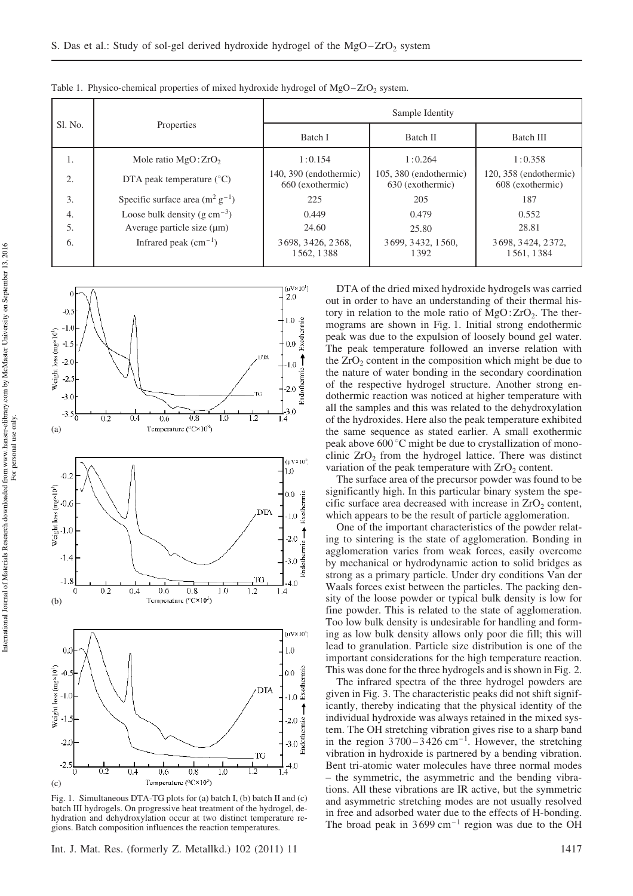| S1. No. | Properties                           | Sample Identity                              |                                              |                                              |
|---------|--------------------------------------|----------------------------------------------|----------------------------------------------|----------------------------------------------|
|         |                                      | Batch I                                      | Batch II                                     | <b>Batch III</b>                             |
| 1.      | Mole ratio $MgO:ZrO2$                | 1:0.154                                      | 1:0.264                                      | 1:0.358                                      |
| 2.      | DTA peak temperature $(^{\circ}C)$   | $140, 390$ (endothermic)<br>660 (exothermic) | $105, 380$ (endothermic)<br>630 (exothermic) | $120, 358$ (endothermic)<br>608 (exothermic) |
| 3.      | Specific surface area $(m^2 g^{-1})$ | 225                                          | 205                                          | 187                                          |
| 4.      | Loose bulk density (g $cm^{-3}$ )    | 0.449                                        | 0.479                                        | 0.552                                        |
| 5.      | Average particle size $(\mu m)$      | 24.60                                        | 25.80                                        | 28.81                                        |
| 6.      | Infrared peak $(cm-1)$               | 3698, 3426, 2368,<br>1562.1388               | 3699, 3432, 1560,<br>1392                    | 3698, 3424, 2372,<br>1561, 1384              |

Table 1. Physico-chemical properties of mixed hydroxide hydrogel of  $MgO-ZrO<sub>2</sub>$  system.



Fig. 1. Simultaneous DTA-TG plots for (a) batch I, (b) batch II and (c) batch III hydrogels. On progressive heat treatment of the hydrogel, dehydration and dehydroxylation occur at two distinct temperature regions. Batch composition influences the reaction temperatures.

Int. J. Mat. Res. (formerly Z. Metallkd.) 102 (2011) 11 1417

DTA of the dried mixed hydroxide hydrogels was carried out in order to have an understanding of their thermal history in relation to the mole ratio of  $MgO:ZrO<sub>2</sub>$ . The thermograms are shown in Fig. 1. Initial strong endothermic peak was due to the expulsion of loosely bound gel water. The peak temperature followed an inverse relation with the  $ZrO<sub>2</sub>$  content in the composition which might be due to the nature of water bonding in the secondary coordination of the respective hydrogel structure. Another strong endothermic reaction was noticed at higher temperature with all the samples and this was related to the dehydroxylation of the hydroxides. Here also the peak temperature exhibited the same sequence as stated earlier. A small exothermic peak above  $600^{\circ}$ C might be due to crystallization of monoclinic  $ZrO<sub>2</sub>$  from the hydrogel lattice. There was distinct variation of the peak temperature with  $ZrO<sub>2</sub>$  content.

The surface area of the precursor powder was found to be significantly high. In this particular binary system the specific surface area decreased with increase in  $ZrO<sub>2</sub>$  content, which appears to be the result of particle agglomeration.

One of the important characteristics of the powder relating to sintering is the state of agglomeration. Bonding in agglomeration varies from weak forces, easily overcome by mechanical or hydrodynamic action to solid bridges as strong as a primary particle. Under dry conditions Van der Waals forces exist between the particles. The packing density of the loose powder or typical bulk density is low for fine powder. This is related to the state of agglomeration. Too low bulk density is undesirable for handling and forming as low bulk density allows only poor die fill; this will lead to granulation. Particle size distribution is one of the important considerations for the high temperature reaction. This was done for the three hydrogels and is shown in Fig. 2.

The infrared spectra of the three hydrogel powders are given in Fig. 3. The characteristic peaks did not shift significantly, thereby indicating that the physical identity of the individual hydroxide was always retained in the mixed system. The OH stretching vibration gives rise to a sharp band in the region  $3700 - 3426$  cm<sup>-1</sup>. However, the stretching vibration in hydroxide is partnered by a bending vibration. Bent tri-atomic water molecules have three normal modes – the symmetric, the asymmetric and the bending vibrations. All these vibrations are IR active, but the symmetric and asymmetric stretching modes are not usually resolved in free and adsorbed water due to the effects of H-bonding. The broad peak in  $3699 \text{ cm}^{-1}$  region was due to the OH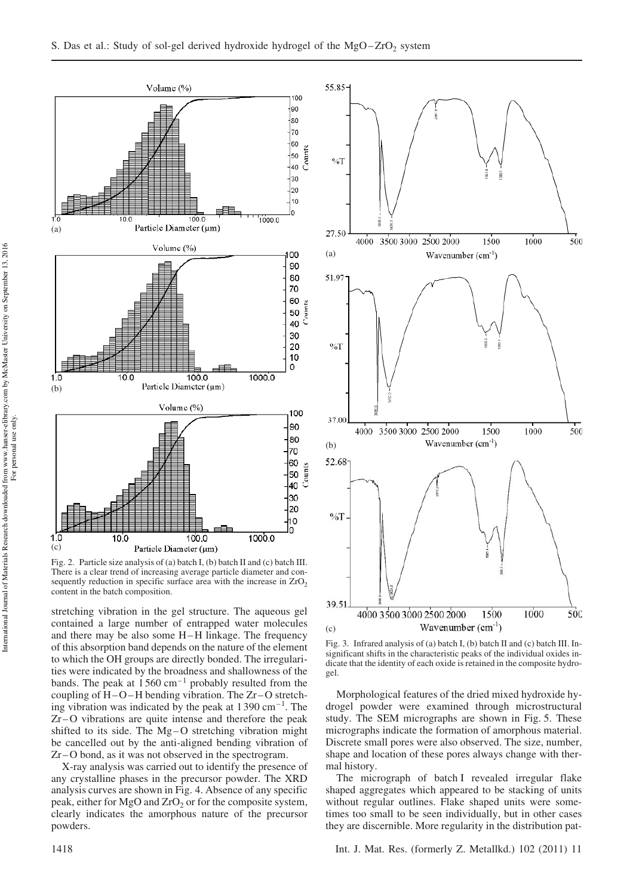

Fig. 2. Particle size analysis of (a) batch I, (b) batch II and (c) batch III. There is a clear trend of increasing average particle diameter and consequently reduction in specific surface area with the increase in  $ZrO<sub>2</sub>$ content in the batch composition.

stretching vibration in the gel structure. The aqueous gel contained a large number of entrapped water molecules and there may be also some H-H linkage. The frequency of this absorption band depends on the nature of the element to which the OH groups are directly bonded. The irregularities were indicated by the broadness and shallowness of the bands. The peak at  $1560 \text{ cm}^{-1}$  probably resulted from the coupling of  $H-O-H$  bending vibration. The  $Zr-O$  stretching vibration was indicated by the peak at  $1390 \text{ cm}^{-1}$ . The Zr – O vibrations are quite intense and therefore the peak shifted to its side. The  $Mg-O$  stretching vibration might be cancelled out by the anti-aligned bending vibration of Zr – O bond, as it was not observed in the spectrogram.

X-ray analysis was carried out to identify the presence of any crystalline phases in the precursor powder. The XRD analysis curves are shown in Fig. 4. Absence of any specific peak, either for MgO and  $ZrO<sub>2</sub>$  or for the composite system, clearly indicates the amorphous nature of the precursor powders.



Fig. 3. Infrared analysis of (a) batch I, (b) batch II and (c) batch III. Insignificant shifts in the characteristic peaks of the individual oxides indicate that the identity of each oxide is retained in the composite hydrogel.

Morphological features of the dried mixed hydroxide hydrogel powder were examined through microstructural study. The SEM micrographs are shown in Fig. 5. These micrographs indicate the formation of amorphous material. Discrete small pores were also observed. The size, number, shape and location of these pores always change with thermal history.

The micrograph of batch I revealed irregular flake shaped aggregates which appeared to be stacking of units without regular outlines. Flake shaped units were sometimes too small to be seen individually, but in other cases they are discernible. More regularity in the distribution pat-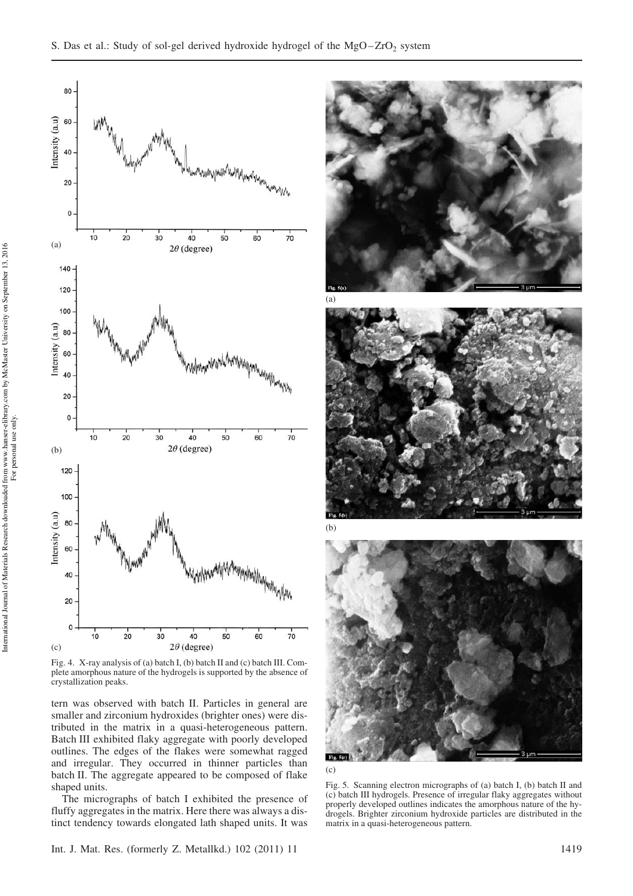

Fig. 4. X-ray analysis of (a) batch I, (b) batch II and (c) batch III. Complete amorphous nature of the hydrogels is supported by the absence of crystallization peaks.

tern was observed with batch II. Particles in general are smaller and zirconium hydroxides (brighter ones) were distributed in the matrix in a quasi-heterogeneous pattern. Batch III exhibited flaky aggregate with poorly developed outlines. The edges of the flakes were somewhat ragged and irregular. They occurred in thinner particles than batch II. The aggregate appeared to be composed of flake shaped units.

The micrographs of batch I exhibited the presence of fluffy aggregates in the matrix. Here there was always a distinct tendency towards elongated lath shaped units. It was







(c)

Fig. 5. Scanning electron micrographs of (a) batch I, (b) batch II and (c) batch III hydrogels. Presence of irregular flaky aggregates without properly developed outlines indicates the amorphous nature of the hydrogels. Brighter zirconium hydroxide particles are distributed in the matrix in a quasi-heterogeneous pattern.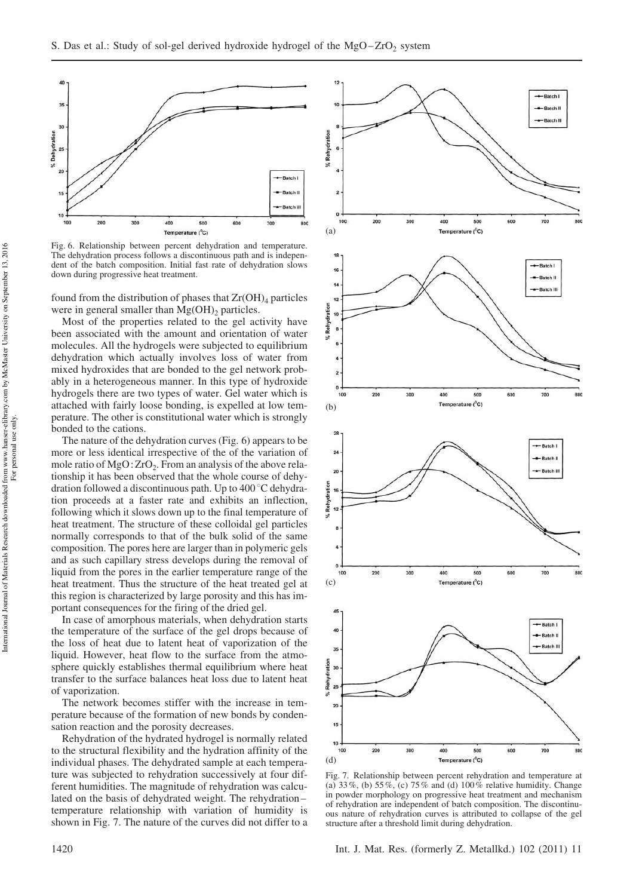

Fig. 6. Relationship between percent dehydration and temperature. The dehydration process follows a discontinuous path and is independent of the batch composition. Initial fast rate of dehydration slows down during progressive heat treatment.

found from the distribution of phases that  $Zr(OH)_4$  particles were in general smaller than  $Mg(OH)$ <sub>2</sub> particles.

Most of the properties related to the gel activity have been associated with the amount and orientation of water molecules. All the hydrogels were subjected to equilibrium dehydration which actually involves loss of water from mixed hydroxides that are bonded to the gel network probably in a heterogeneous manner. In this type of hydroxide hydrogels there are two types of water. Gel water which is attached with fairly loose bonding, is expelled at low temperature. The other is constitutional water which is strongly bonded to the cations.

The nature of the dehydration curves (Fig. 6) appears to be more or less identical irrespective of the of the variation of mole ratio of  $MgO:ZrO<sub>2</sub>$ . From an analysis of the above relationship it has been observed that the whole course of dehydration followed a discontinuous path. Up to  $400\degree\text{C}$  dehydration proceeds at a faster rate and exhibits an inflection, following which it slows down up to the final temperature of heat treatment. The structure of these colloidal gel particles normally corresponds to that of the bulk solid of the same composition. The pores here are larger than in polymeric gels and as such capillary stress develops during the removal of liquid from the pores in the earlier temperature range of the heat treatment. Thus the structure of the heat treated gel at this region is characterized by large porosity and this has important consequences for the firing of the dried gel.

In case of amorphous materials, when dehydration starts the temperature of the surface of the gel drops because of the loss of heat due to latent heat of vaporization of the liquid. However, heat flow to the surface from the atmosphere quickly establishes thermal equilibrium where heat transfer to the surface balances heat loss due to latent heat of vaporization.

The network becomes stiffer with the increase in temperature because of the formation of new bonds by condensation reaction and the porosity decreases.

Rehydration of the hydrated hydrogel is normally related to the structural flexibility and the hydration affinity of the individual phases. The dehydrated sample at each temperature was subjected to rehydration successively at four different humidities. The magnitude of rehydration was calculated on the basis of dehydrated weight. The rehydration – temperature relationship with variation of humidity is shown in Fig. 7. The nature of the curves did not differ to a



Fig. 7. Relationship between percent rehydration and temperature at (a)  $33\%$ , (b)  $55\%$ , (c)  $75\%$  and (d)  $100\%$  relative humidity. Change in powder morphology on progressive heat treatment and mechanism of rehydration are independent of batch composition. The discontinuous nature of rehydration curves is attributed to collapse of the gel structure after a threshold limit during dehydration.